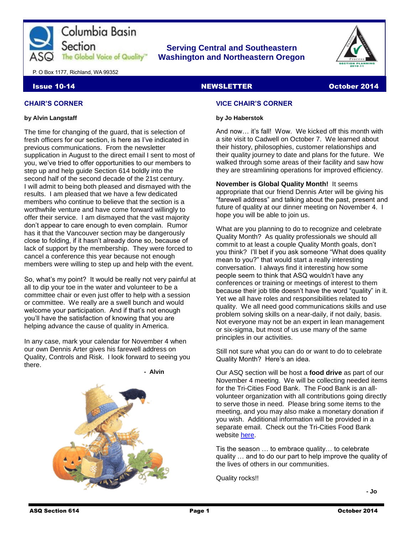

### **Serving Central and Southeastern The Global Voice of Quality Washington and Northeastern Oregon**



P. O Box 1177, Richland, WA 99352

#### Issue 10-14 NEWSLETTER October 2014

#### **CHAIR'S CORNER**

#### **by Alvin Langstaff**

The time for changing of the guard, that is selection of fresh officers for our section, is here as I've indicated in previous communications. From the newsletter supplication in August to the direct email I sent to most of you, we've tried to offer opportunities to our members to step up and help guide Section 614 boldly into the second half of the second decade of the 21st century. I will admit to being both pleased and dismayed with the results. I am pleased that we have a few dedicated members who continue to believe that the section is a worthwhile venture and have come forward willingly to offer their service. I am dismayed that the vast majority don't appear to care enough to even complain. Rumor has it that the Vancouver section may be dangerously close to folding, if it hasn't already done so, because of lack of support by the membership. They were forced to cancel a conference this year because not enough members were willing to step up and help with the event.

So, what's my point? It would be really not very painful at all to dip your toe in the water and volunteer to be a committee chair or even just offer to help with a session or committee. We really are a swell bunch and would welcome your participation. And if that's not enough you'll have the satisfaction of knowing that you are helping advance the cause of quality in America.

In any case, mark your calendar for November 4 when our own Dennis Arter gives his farewell address on Quality, Controls and Risk. I look forward to seeing you there.

**- Alvin**



# **VICE CHAIR'S CORNER**

#### **by Jo Haberstok**

And now… it's fall! Wow. We kicked off this month with a site visit to Cadwell on October 7. We learned about their history, philosophies, customer relationships and their quality journey to date and plans for the future. We walked through some areas of their facility and saw how they are streamlining operations for improved efficiency.

**November is Global Quality Month!** It seems appropriate that our friend Dennis Arter will be giving his "farewell address" and talking about the past, present and future of quality at our dinner meeting on November 4. I hope you will be able to join us.

What are you planning to do to recognize and celebrate Quality Month? As quality professionals we should all commit to at least a couple Quality Month goals, don't you think? I'll bet if you ask someone "What does quality mean to you?" that would start a really interesting conversation. I always find it interesting how some people seem to think that ASQ wouldn't have any conferences or training or meetings of interest to them because their job title doesn't have the word "quality" in it. Yet we all have roles and responsibilities related to quality. We all need good communications skills and use problem solving skills on a near-daily, if not daily, basis. Not everyone may not be an expert in lean management or six-sigma, but most of us use many of the same principles in our activities.

Still not sure what you can do or want to do to celebrate Quality Month? Here's an idea.

Our ASQ section will be host a **food drive** as part of our November 4 meeting. We will be collecting needed items for the Tri-Cities Food Bank. The Food Bank is an allvolunteer organization with all contributions going directly to serve those in need. Please bring some items to the meeting, and you may also make a monetary donation if you wish. Additional information will be provided in a separate email. Check out the Tri-Cities Food Bank website [here.](http://www.tricitiesfoodbank.org/)

Tis the season … to embrace quality… to celebrate quality … and to do our part to help improve the quality of the lives of others in our communities.

Quality rocks!!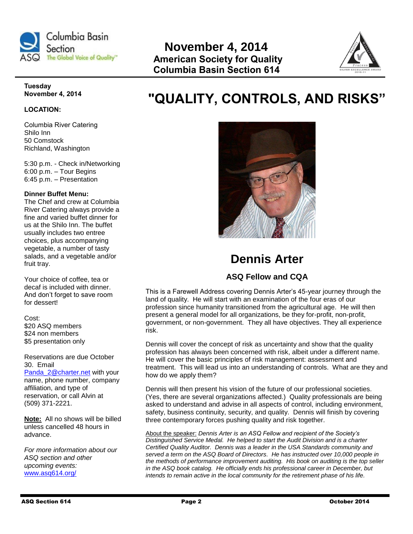

# Section<br> **Rovember 4, 2014**<br> **Consultant Section Cuality**<br> **American Seciety for Qua American Society for Quality Columbia Basin Section 614**



#### **Tuesday November 4, 2014**

#### **LOCATION:**

Columbia River Catering Shilo Inn 50 Comstock Richland, Washington

5:30 p.m. - Check in/Networking 6:00 p.m. – Tour Begins 6:45 p.m. – Presentation

#### **Dinner Buffet Menu:**

The Chef and crew at Columbia River Catering always provide a fine and varied buffet dinner for us at the Shilo Inn. The buffet usually includes two entree choices, plus accompanying vegetable, a number of tasty salads, and a vegetable and/or fruit tray.

Your choice of coffee, tea or decaf is included with dinner. And don't forget to save room for dessert!

Cost: \$20 ASQ members \$24 non members \$5 presentation only

Reservations are due October 30. Email [Panda\\_2@charter.net](mailto:Panda_2@charter.net) with your name, phone number, company affiliation, and type of reservation, or call Alvin at (509) 371-2221.

**Note:** All no shows will be billed unless cancelled 48 hours in advance.

*For more information about our ASQ section and other upcoming events:*  [www.asq614.org/](http://www.asq614.org/)

# **"QUALITY, CONTROLS, AND RISKS"**



# **Dennis Arter**

# **ASQ Fellow and CQA**

This is a Farewell Address covering Dennis Arter's 45-year journey through the land of quality. He will start with an examination of the four eras of our profession since humanity transitioned from the agricultural age. He will then present a general model for all organizations, be they for-profit, non-profit, government, or non-government. They all have objectives. They all experience risk.

Dennis will cover the concept of risk as uncertainty and show that the quality profession has always been concerned with risk, albeit under a different name. He will cover the basic principles of risk management: assessment and treatment. This will lead us into an understanding of controls. What are they and how do we apply them?

Dennis will then present his vision of the future of our professional societies. (Yes, there are several organizations affected.) Quality professionals are being asked to understand and advise in all aspects of control, including environment, safety, business continuity, security, and quality. Dennis will finish by covering three contemporary forces pushing quality and risk together.

About the speaker: *Dennis Arter is an ASQ Fellow and recipient of the Society's Distinguished Service Medal. He helped to start the Audit Division and is a charter Certified Quality Auditor. Dennis was a leader in the USA Standards community and served a term on the ASQ Board of Directors. He has instructed over 10,000 people in the methods of performance improvement auditing. His book on auditing is the top seller in the ASQ book catalog. He officially ends his professional career in December, but intends to remain active in the local community for the retirement phase of his life.*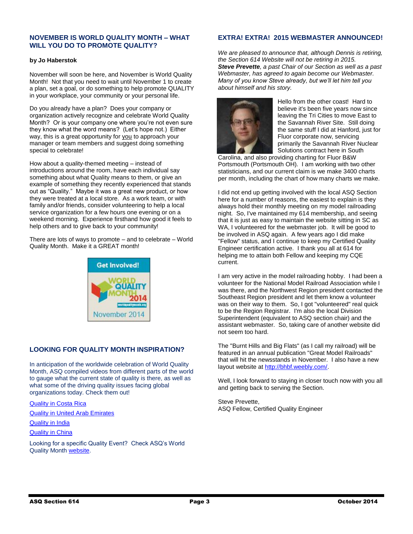#### **NOVEMBER IS WORLD QUALITY MONTH – WHAT WILL YOU DO TO PROMOTE QUALITY?**

#### **by Jo Haberstok**

November will soon be here, and November is World Quality Month! Not that you need to wait until November 1 to create a plan, set a goal, or do something to help promote QUALITY in your workplace, your community or your personal life.

Do you already have a plan? Does your company or organization actively recognize and celebrate World Quality Month? Or is your company one where you're not even sure they know what the word means? (Let's hope not.) Either way, this is a great opportunity for you to approach your manager or team members and suggest doing something special to celebrate!

How about a quality-themed meeting – instead of introductions around the room, have each individual say something about what Quality means to them, or give an example of something they recently experienced that stands out as "Quality." Maybe it was a great new product, or how they were treated at a local store. As a work team, or with family and/or friends, consider volunteering to help a local service organization for a few hours one evening or on a weekend morning. Experience firsthand how good it feels to help others and to give back to your community!

There are lots of ways to promote – and to celebrate – World Quality Month. Make it a GREAT month!



#### **LOOKING FOR QUALITY MONTH INSPIRATION?**

In anticipation of the worldwide celebration of World Quality Month, ASQ compiled videos from different parts of the world to gauge what the current state of quality is there, as well as what some of the driving quality issues facing global organizations today. Check them out!

#### [Quality in Costa Rica](http://videos.asq.org/quality-in-costa-rica?utm_content=&utm_source=email&utm_medium=email&utm_campaign=communications_fridayfastfacts_10102014)

[Quality in United Arab Emirates](http://videos.asq.org/what-drives-quality-improvement-in-the-united-arab-emirates?utm_content=&utm_source=email&utm_medium=email&utm_campaign=communications_fridayfastfacts_10102014)

[Quality in India](http://videos.asq.org/the-state-of-quality-in-india?utm_content=&utm_source=email&utm_medium=email&utm_campaign=communications_fridayfastfacts_10102014)

#### [Quality in China](http://videos.asq.org/quality-in-china?utm_content=&utm_source=email&utm_medium=email&utm_campaign=communications_fridayfastfacts_10102014)

Looking for a specific Quality Event? Check ASQ's World Quality Month [website.](http://asq.org/world-quality-month/events.aspx?utm_content=&utm_source=email&utm_medium=email&utm_campaign=communications_fridayfastfacts_10102014)

#### **EXTRA! EXTRA! 2015 WEBMASTER ANNOUNCED!**

*We are pleased to announce that, although Dennis is retiring, the Section 614 Website will not be retiring in 2015. Steve Prevette, a past Chair of our Section as well as a past Webmaster, has agreed to again become our Webmaster. Many of you know Steve already, but we'll let him tell you about himself and his story.*



Hello from the other coast! Hard to believe it's been five years now since leaving the Tri Cities to move East to the Savannah River Site. Still doing the same stuff I did at Hanford, just for Fluor corporate now, servicing primarily the Savannah River Nuclear Solutions contract here in South

Carolina, and also providing charting for Fluor B&W Portsmouth (Portsmouth OH). I am working with two other statisticians, and our current claim is we make 3400 charts per month, including the chart of how many charts we make.

I did not end up getting involved with the local ASQ Section here for a number of reasons, the easiest to explain is they always hold their monthly meeting on my model railroading night. So, I've maintained my 614 membership, and seeing that it is just as easy to maintain the website sitting in SC as WA, I volunteered for the webmaster job. It will be good to be involved in ASQ again. A few years ago I did make "Fellow" status, and I continue to keep my Certified Quality Engineer certification active. I thank you all at 614 for helping me to attain both Fellow and keeping my CQE current.

I am very active in the model railroading hobby. I had been a volunteer for the National Model Railroad Association while I was there, and the Northwest Region president contacted the Southeast Region president and let them know a volunteer was on their way to them. So, I got "volunteered" real quick to be the Region Registrar. I'm also the local Division Superintendent (equivalent to ASQ section chair) and the assistant webmaster. So, taking care of another website did not seem too hard.

The "Burnt Hills and Big Flats" (as I call my railroad) will be featured in an annual publication "Great Model Railroads" that will hit the newsstands in November. I also have a new layout website at [http://bhbf.weebly.com/.](http://bhbf.weebly.com/)

Well, I look forward to staying in closer touch now with you all and getting back to serving the Section.

Steve Prevette, ASQ Fellow, Certified Quality Engineer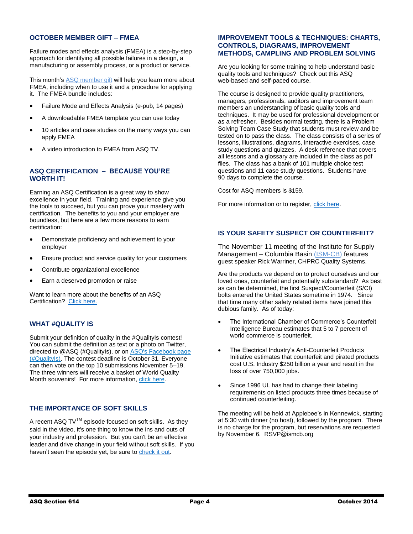#### **OCTOBER MEMBER GIFT – FMEA**

Failure modes and effects analysis (FMEA) is a step-by-step approach for identifying all possible failures in a design, a manufacturing or assembly process, or a product or service.

This month's [ASQ member gift](http://links.communications.asq.org/ctt?kn=3&ms=OTU5MzU5OQS2&r=MTQxNjYxOTcxMjc2S0&b=0&j=NDAwMTczMDg0S0&mt=1&rt=0) will help you learn more about FMEA, including when to use it and a procedure for applying it. The FMEA bundle includes:

- Failure Mode and Effects Analysis (e-pub, 14 pages)
- A downloadable FMEA template you can use today
- 10 articles and case studies on the many ways you can apply FMEA
- A video introduction to FMEA from ASQ TV.

#### **ASQ CERTIFICATION – BECAUSE YOU'RE WORTH IT!**

Earning an ASQ Certification is a great way to show excellence in your field. Training and experience give you the tools to succeed, but you can prove your mastery with certification. The benefits to you and your employer are boundless, but here are a few more reasons to earn certification:

- Demonstrate proficiency and achievement to your employer
- Ensure product and service quality for your customers
- Contribute organizational excellence
- Earn a deserved promotion or raise

Want to learn more about the benefits of an ASQ Certification? [Click here.](http://asq.org/promotional/cert-prep.html?utm_content=&utm_source=email&utm_medium=email&utm_campaign=marketing_cert_jd%20101014%20cert%20deadline%20em%202%20mem)

#### **WHAT #QUALITY IS**

Submit your definition of quality in the #QualityIs contest! You can submit the definition as text or a photo on Twitter, directed to @ASQ (#QualityIs), or on [ASQ's Facebook page](http://links.communications.asq.org/ctt?kn=5&ms=OTYzMjM3NAS2&r=MTQyNjg2MTI3MjM2S0&b=0&j=NDAwNjY4Mjk5S0&mt=1&rt=0)  [\(#QualityIs\).](http://links.communications.asq.org/ctt?kn=5&ms=OTYzMjM3NAS2&r=MTQyNjg2MTI3MjM2S0&b=0&j=NDAwNjY4Mjk5S0&mt=1&rt=0) The contest deadline is October 31. Everyone can then vote on the top 10 submissions November 5–19. The three winners will receive a basket of World Quality Month souvenirs! For more information, [click here.](http://links.communications.asq.org/ctt?kn=16&ms=OTYzMjM3NAS2&r=MTQyNjg2MTI3MjM2S0&b=0&j=NDAwNjY4Mjk5S0&mt=1&rt=0)

#### **THE IMPORTANCE OF SOFT SKILLS**

A recent ASQ  $TV^{TM}$  episode focused on soft skills. As they said in the video, it's one thing to know the ins and outs of your industry and profession. But you can't be an effective leader and drive change in your field without soft skills. If you haven't seen the episode yet, be sure to [check it out.](http://videos.asq.org/soft-skills-leadership-and-management?preview=true&utm_content=&utm_source=email&utm_medium=email&utm_campaign=communications_asq%20weekly_100814)

#### **IMPROVEMENT TOOLS & TECHNIQUES: CHARTS, CONTROLS, DIAGRAMS, IMPROVEMENT METHODS, CAMPLING AND PROBLEM SOLVING**

Are you looking for some training to help understand basic quality tools and techniques? Check out this ASQ web-based and self-paced course.

The course is designed to provide quality practitioners, managers, professionals, auditors and improvement team members an understanding of basic quality tools and techniques. It may be used for professional development or as a refresher. Besides normal testing, there is a Problem Solving Team Case Study that students must review and be tested on to pass the class. The class consists of a series of lessons, illustrations, diagrams, interactive exercises, case study questions and quizzes. A desk reference that covers all lessons and a glossary are included in the class as pdf files. The class has a bank of 101 multiple choice test questions and 11 case study questions. Students have 90 days to complete the course.

Cost for ASQ members is \$159.

For more information or to register, [click here](http://asq.org/training/improvement-tools-techniques-charts-controls-diagrams-improvement-methods-sampling-and-problem-solving_ITT01JPR.html?utm_content=utm_source=email&utm_medium=email&utm_campaign=marketing_xmkt%20lo_jd%20080714%20training%20email%20mem%20test).

#### **IS YOUR SAFETY SUSPECT OR COUNTERFEIT?**

The November 11 meeting of the Institute for Supply Management – Columbia Basin [\(ISM-CB\)](http://www.ismcb.org/) features guest speaker Rick Warriner, CHPRC Quality Systems.

Are the products we depend on to protect ourselves and our loved ones, counterfeit and potentially substandard? As best as can be determined, the first Suspect/Counterfeit (S/CI) bolts entered the United States sometime in 1974. Since that time many other safety related items have joined this dubious family. As of today:

- The International Chamber of Commerce's Counterfeit Intelligence Bureau estimates that 5 to 7 percent of world commerce is counterfeit.
- The Electrical Industry's Anti-Counterfeit Products Initiative estimates that counterfeit and pirated products cost U.S. Industry \$250 billion a year and result in the loss of over 750,000 jobs.
- Since 1996 UL has had to change their labeling requirements on listed products three times because of continued counterfeiting.

The meeting will be held at Applebee's in Kennewick, starting at 5:30 with dinner (no host), followed by the program. There is no charge for the program, but reservations are requested by November 6. [RSVP@ismcb.org](mailto:RSVP@ismcb.org)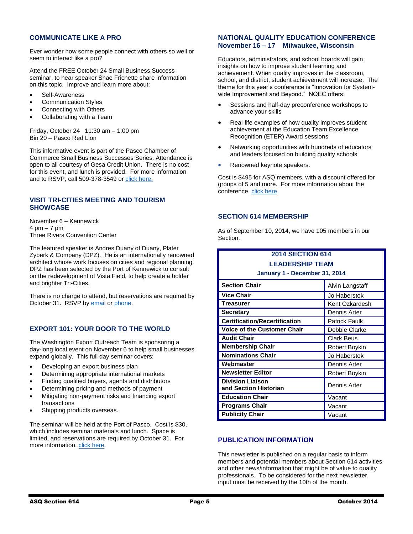#### **COMMUNICATE LIKE A PRO**

Ever wonder how some people connect with others so well or seem to interact like a pro?

Attend the FREE October 24 Small Business Success seminar, to hear speaker Shae Frichette share information on this topic. Improve and learn more about:

- Self-Awareness
- Communication Styles
- Connecting with Others
- Collaborating with a Team

Friday, October 24 11:30 am – 1:00 pm Bin 20 – Pasco Red Lion

This informative event is part of the Pasco Chamber of Commerce Small Business Successes Series. Attendance is open to all courtesy of Gesa Credit Union. There is no cost for this event, and lunch is provided. For more information and to RSVP, call 509-378-3549 or [click here.](https://www.gesa.com/learn/seminars)

#### **VISIT TRI-CITIES MEETING AND TOURISM SHOWCASE**

November 6 – Kennewick 4 pm – 7 pm Three Rivers Convention Center

The featured speaker is Andres Duany of Duany, Plater Zyberk & Company (DPZ). He is an internationally renowned architect whose work focuses on cities and regional planning. DPZ has been selected by the Port of Kennewick to consult on the redevelopment of Vista Field, to help create a bolder and brighter Tri-Cities.

There is no charge to attend, but reservations are required by October 31. RSVP by [email](mailto:info@VisitTRI-CITIES.com) o[r phone.](file:///C:/Users/dance4me/AppData/Local/Microsoft/Windows/INetCache/Content.Outlook/LIHY4U37/(509)%20735-8486)

#### **EXPORT 101: YOUR DOOR TO THE WORLD**

The Washington Export Outreach Team is sponsoring a day-long local event on November 6 to help small businesses expand globally. This full day seminar covers:

- Developing an export business plan
- Determining appropriate international markets
- Finding qualified buyers, agents and distributors
- Determining pricing and methods of payment
- Mitigating non-payment risks and financing export transactions
- Shipping products overseas.

The seminar will be held at the Port of Pasco. Cost is \$30, which includes seminar materials and lunch. Space is limited, and reservations are required by October 31. For more information[, click here.](http://www.eventbrite.com/e/export-101-your-door-to-the-world-tickets-13290519301)

#### **NATIONAL QUALITY EDUCATION CONFERENCE November 16 – 17 Milwaukee, Wisconsin**

Educators, administrators, and school boards will gain insights on how to improve student learning and achievement. When quality improves in the classroom, school, and district, student achievement will increase. The theme for this year's conference is "Innovation for Systemwide Improvement and Beyond." NQEC offers:

- Sessions and half-day preconference workshops to advance your skills
- Real-life examples of how quality improves student achievement at the Education Team Excellence Recognition (ETER) Award sessions
- Networking opportunities with hundreds of educators and leaders focused on building quality schools
- Renowned keynote speakers.

Cost is \$495 for ASQ members, with a discount offered for groups of 5 and more. For more information about the conference, [click here.](http://asq.org/nqec/)

#### **SECTION 614 MEMBERSHIP**

As of September 10, 2014, we have 105 members in our Section.

# **2014 SECTION 614 LEADERSHIP TEAM**

|  |  | January 1 - December 31, 2014 |  |  |
|--|--|-------------------------------|--|--|
|--|--|-------------------------------|--|--|

| <b>Section Chair</b>                             | Alvin Langstaff   |  |
|--------------------------------------------------|-------------------|--|
| <b>Vice Chair</b>                                | Jo Haberstok      |  |
| Treasurer                                        | Kent Ozkardesh    |  |
| Secretary                                        | Dennis Arter      |  |
| <b>Certification/Recertification</b>             | Patrick Faulk     |  |
| <b>Voice of the Customer Chair</b>               | Debbie Clarke     |  |
| <b>Audit Chair</b>                               | <b>Clark Beus</b> |  |
| <b>Membership Chair</b>                          | Robert Boykin     |  |
| <b>Nominations Chair</b>                         | Jo Haberstok      |  |
| Webmaster                                        | Dennis Arter      |  |
| <b>Newsletter Editor</b>                         | Robert Boykin     |  |
| <b>Division Liaison</b><br>and Section Historian | Dennis Arter      |  |
| <b>Education Chair</b>                           | Vacant            |  |
| <b>Programs Chair</b>                            | Vacant            |  |
| <b>Publicity Chair</b>                           | Vacant            |  |

#### **PUBLICATION INFORMATION**

This newsletter is published on a regular basis to inform members and potential members about Section 614 activities and other news/information that might be of value to quality professionals. To be considered for the next newsletter, input must be received by the 10th of the month.